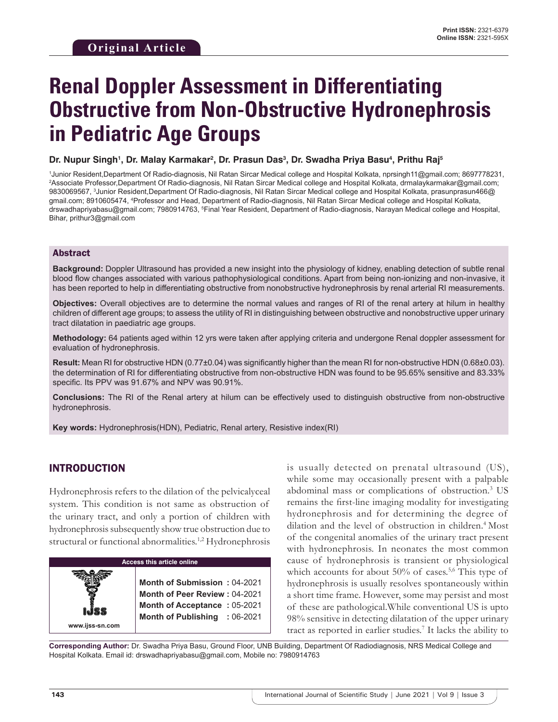# **Renal Doppler Assessment in Differentiating Obstructive from Non-Obstructive Hydronephrosis in Pediatric Age Groups**

#### **Dr. Nupur Singh1 , Dr. Malay Karmakar2 , Dr. Prasun Das3 , Dr. Swadha Priya Basu4 , Prithu Raj5**

1 Junior Resident,Department Of Radio-diagnosis, Nil Ratan Sircar Medical college and Hospital Kolkata, nprsingh11@gmail.com; 8697778231, 2 Associate Professor,Department Of Radio-diagnosis, Nil Ratan Sircar Medical college and Hospital Kolkata, drmalaykarmakar@gmail.com; 9830069567, 3 Junior Resident,Department Of Radio-diagnosis, Nil Ratan Sircar Medical college and Hospital Kolkata, prasunprasun466@ gmail.com; 8910605474, 4 Professor and Head, Department of Radio-diagnosis, Nil Ratan Sircar Medical college and Hospital Kolkata, drswadhapriyabasu@gmail.com; 7980914763, <sup>s</sup>Final Year Resident, Department of Radio-diagnosis, Narayan Medical college and Hospital, Bihar, prithur3@gmail.com

#### Abstract

**Background:** Doppler Ultrasound has provided a new insight into the physiology of kidney, enabling detection of subtle renal blood flow changes associated with various pathophysiological conditions. Apart from being non-ionizing and non-invasive, it has been reported to help in differentiating obstructive from nonobstructive hydronephrosis by renal arterial RI measurements.

**Objectives:** Overall objectives are to determine the normal values and ranges of RI of the renal artery at hilum in healthy children of different age groups; to assess the utility of RI in distinguishing between obstructive and nonobstructive upper urinary tract dilatation in paediatric age groups.

**Methodology:** 64 patients aged within 12 yrs were taken after applying criteria and undergone Renal doppler assessment for evaluation of hydronephrosis.

**Result:** Mean RI for obstructive HDN (0.77±0.04) was significantly higher than the mean RI for non-obstructive HDN (0.68±0.03). the determination of RI for differentiating obstructive from non-obstructive HDN was found to be 95.65% sensitive and 83.33% specific. Its PPV was 91.67% and NPV was 90.91%.

**Conclusions:** The RI of the Renal artery at hilum can be effectively used to distinguish obstructive from non-obstructive hydronephrosis.

**Key words:** Hydronephrosis(HDN), Pediatric, Renal artery, Resistive index(RI)

## INTRODUCTION

**www.ijss-sn.com**

Hydronephrosis refers to the dilation of the pelvicalyceal system. This condition is not same as obstruction of the urinary tract, and only a portion of children with hydronephrosis subsequently show true obstruction due to structural or functional abnormalities.<sup>1,2</sup> Hydronephrosis

**Access this article online**

**Month of Submission :** 04-2021 **Month of Peer Review :** 04-2021 **Month of Acceptance :** 05-2021 **Month of Publishing :** 06-2021

is usually detected on prenatal ultrasound (US), while some may occasionally present with a palpable abdominal mass or complications of obstruction.<sup>3</sup> US remains the first-line imaging modality for investigating hydronephrosis and for determining the degree of dilation and the level of obstruction in children.<sup>4</sup> Most of the congenital anomalies of the urinary tract present with hydronephrosis. In neonates the most common cause of hydronephrosis is transient or physiological which accounts for about  $50\%$  of cases.<sup>5,6</sup> This type of hydronephrosis is usually resolves spontaneously within a short time frame. However, some may persist and most of these are pathological.While conventional US is upto 98% sensitive in detecting dilatation of the upper urinary tract as reported in earlier studies.7 It lacks the ability to

**Corresponding Author:** Dr. Swadha Priya Basu, Ground Floor, UNB Building, Department Of Radiodiagnosis, NRS Medical College and Hospital Kolkata. Email id: drswadhapriyabasu@gmail.com, Mobile no: 7980914763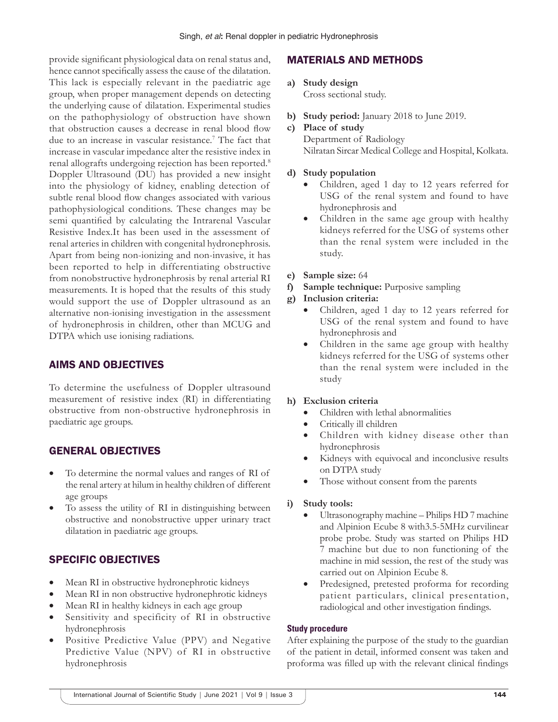provide significant physiological data on renal status and, hence cannot specifically assess the cause of the dilatation. This lack is especially relevant in the paediatric age group, when proper management depends on detecting the underlying cause of dilatation. Experimental studies on the pathophysiology of obstruction have shown that obstruction causes a decrease in renal blood flow due to an increase in vascular resistance.<sup>7</sup> The fact that increase in vascular impedance alter the resistive index in renal allografts undergoing rejection has been reported.<sup>8</sup> Doppler Ultrasound (DU) has provided a new insight into the physiology of kidney, enabling detection of subtle renal blood flow changes associated with various pathophysiological conditions. These changes may be semi quantified by calculating the Intrarenal Vascular Resistive Index.It has been used in the assessment of renal arteries in children with congenital hydronephrosis. Apart from being non-ionizing and non-invasive, it has been reported to help in differentiating obstructive from nonobstructive hydronephrosis by renal arterial RI measurements. It is hoped that the results of this study would support the use of Doppler ultrasound as an alternative non-ionising investigation in the assessment of hydronephrosis in children, other than MCUG and DTPA which use ionising radiations.

## AIMS AND OBJECTIVES

To determine the usefulness of Doppler ultrasound measurement of resistive index (RI) in differentiating obstructive from non-obstructive hydronephrosis in paediatric age groups.

## GENERAL OBJECTIVES

- To determine the normal values and ranges of RI of the renal artery at hilum in healthy children of different age groups
- To assess the utility of RI in distinguishing between obstructive and nonobstructive upper urinary tract dilatation in paediatric age groups.

# SPECIFIC OBJECTIVES

- Mean RI in obstructive hydronephrotic kidneys
- Mean RI in non obstructive hydronephrotic kidneys
- Mean RI in healthy kidneys in each age group
- Sensitivity and specificity of RI in obstructive hydronephrosis
- Positive Predictive Value (PPV) and Negative Predictive Value (NPV) of RI in obstructive hydronephrosis

# MATERIALS AND METHODS

- **a) Study design** Cross sectional study.
- **b) Study period:** January 2018 to June 2019.
- **c) Place of study** Department of Radiology Nilratan Sircar Medical College and Hospital, Kolkata.

#### **d) Study population**

- Children, aged 1 day to 12 years referred for USG of the renal system and found to have hydronephrosis and
- Children in the same age group with healthy kidneys referred for the USG of systems other than the renal system were included in the study.
- **e) Sample size:** 64
- **f) Sample technique:** Purposive sampling

#### **g) Inclusion criteria:**

- Children, aged 1 day to 12 years referred for USG of the renal system and found to have hydronephrosis and
- Children in the same age group with healthy kidneys referred for the USG of systems other than the renal system were included in the study

#### **h) Exclusion criteria**

- Children with lethal abnormalities
- Critically ill children
- Children with kidney disease other than hydronephrosis
- Kidneys with equivocal and inconclusive results on DTPA study
- Those without consent from the parents

#### **i) Study tools:**

- Ultrasonography machine Philips HD 7 machine and Alpinion Ecube 8 with3.5-5MHz curvilinear probe probe. Study was started on Philips HD 7 machine but due to non functioning of the machine in mid session, the rest of the study was carried out on Alpinion Ecube 8.
- Predesigned, pretested proforma for recording patient particulars, clinical presentation, radiological and other investigation findings.

#### **Study procedure**

After explaining the purpose of the study to the guardian of the patient in detail, informed consent was taken and proforma was filled up with the relevant clinical findings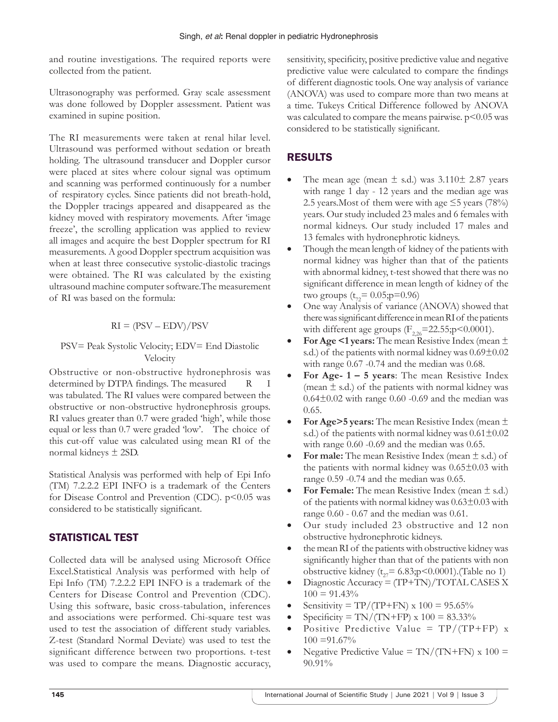and routine investigations. The required reports were collected from the patient.

Ultrasonography was performed. Gray scale assessment was done followed by Doppler assessment. Patient was examined in supine position.

The RI measurements were taken at renal hilar level. Ultrasound was performed without sedation or breath holding. The ultrasound transducer and Doppler cursor were placed at sites where colour signal was optimum and scanning was performed continuously for a number of respiratory cycles. Since patients did not breath-hold, the Doppler tracings appeared and disappeared as the kidney moved with respiratory movements. After 'image freeze', the scrolling application was applied to review all images and acquire the best Doppler spectrum for RI measurements. A good Doppler spectrum acquisition was when at least three consecutive systolic-diastolic tracings were obtained. The RI was calculated by the existing ultrasound machine computer software.The measurement of RI was based on the formula:

# $RI = (PSV - EDV)/PSV$

#### PSV= Peak Systolic Velocity; EDV= End Diastolic Velocity

Obstructive or non-obstructive hydronephrosis was determined by DTPA findings. The measured R I was tabulated. The RI values were compared between the obstructive or non-obstructive hydronephrosis groups. RI values greater than 0.7 were graded 'high', while those equal or less than 0.7 were graded 'low'. The choice of this cut-off value was calculated using mean RI of the normal kidneys ± 2SD.

Statistical Analysis was performed with help of Epi Info (TM) 7.2.2.2 EPI INFO is a trademark of the Centers for Disease Control and Prevention (CDC).  $p<0.05$  was considered to be statistically significant.

# STATISTICAL TEST

Collected data will be analysed using Microsoft Office Excel.Statistical Analysis was performed with help of Epi Info (TM) 7.2.2.2 EPI INFO is a trademark of the Centers for Disease Control and Prevention (CDC). Using this software, basic cross-tabulation, inferences and associations were performed. Chi-square test was used to test the association of different study variables. Z-test (Standard Normal Deviate) was used to test the significant difference between two proportions. t-test was used to compare the means. Diagnostic accuracy, sensitivity, specificity, positive predictive value and negative predictive value were calculated to compare the findings of different diagnostic tools. One way analysis of variance (ANOVA) was used to compare more than two means at a time. Tukeys Critical Difference followed by ANOVA was calculated to compare the means pairwise.  $p<0.05$  was considered to be statistically significant.

# RESULTS

- The mean age (mean  $\pm$  s.d.) was 3.110 $\pm$  2.87 years with range 1 day - 12 years and the median age was 2.5 years. Most of them were with age  $\leq$  5 years (78%) years. Our study included 23 males and 6 females with normal kidneys. Our study included 17 males and 13 females with hydronephrotic kidneys.
- Though the mean length of kidney of the patients with normal kidney was higher than that of the patients with abnormal kidney, t-test showed that there was no significant difference in mean length of kidney of the two groups ( $t_{72}$ = 0.05;p=0.96)
- One way Analysis of variance (ANOVA) showed that there was significant difference in mean RI of the patients with different age groups  $(F_{226}=22.55; p<0.0001)$ .
- **For Age <1 years:** The mean Resistive Index (mean ± s.d.) of the patients with normal kidney was  $0.69\pm0.02$ with range 0.67 -0.74 and the median was 0.68.
- **For Age- 1 5 years**: The mean Resistive Index (mean  $\pm$  s.d.) of the patients with normal kidney was  $0.64\pm0.02$  with range 0.60 -0.69 and the median was 0.65.
- **For Age>5 years:** The mean Resistive Index (mean ± s.d.) of the patients with normal kidney was  $0.61 \pm 0.02$ with range  $0.60$  -0.69 and the median was 0.65.
- **For male:** The mean Resistive Index (mean  $\pm$  s.d.) of the patients with normal kidney was  $0.65\pm0.03$  with range 0.59 -0.74 and the median was 0.65.
- **For Female:** The mean Resistive Index (mean  $\pm$  s.d.) of the patients with normal kidney was  $0.63\pm0.03$  with range 0.60 - 0.67 and the median was 0.61.
- Our study included 23 obstructive and 12 non obstructive hydronephrotic kidneys.
- the mean RI of the patients with obstructive kidney was significantly higher than that of the patients with non obstructive kidney ( $t_{27}$ = 6.83;p<0.0001).(Table no 1)
- Diagnostic Accuracy = (TP+TN)/TOTAL CASES X  $100 = 91.43\%$
- Sensitivity = TP/(TP+FN) x  $100 = 95.65\%$
- $Specificity = TN/(TN+FP) \times 100 = 83.33\%$
- Positive Predictive Value =  $TP/(TP+FP)$  x  $100 = 91.67\%$
- Negative Predictive Value =  $\text{TN}/(\text{TN} + \text{FN}) \times 100 =$ 90.91%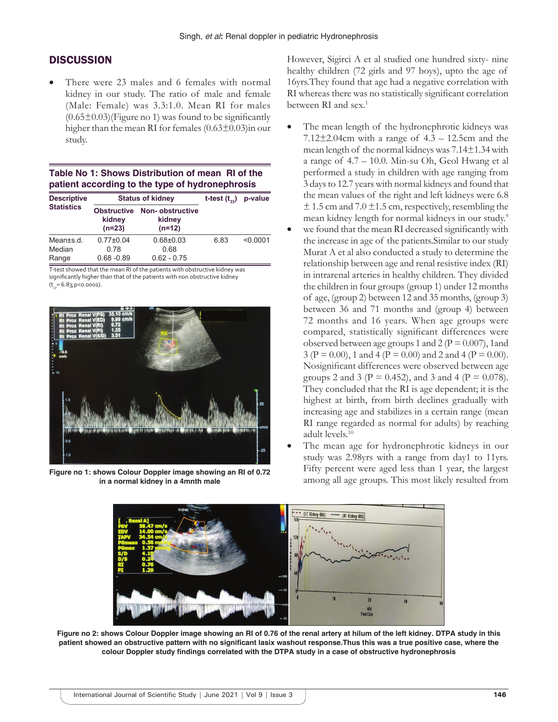#### **DISCUSSION**

• There were 23 males and 6 females with normal kidney in our study. The ratio of male and female (Male: Female) was 3.3:1.0. Mean RI for males  $(0.65\pm0.03)$ (Figure no 1) was found to be significantly higher than the mean RI for females  $(0.63\pm0.03)$ in our study.

#### **Table No 1: Shows Distribution of mean RI of the patient according to the type of hydronephrosis**

| <b>Descriptive</b><br><b>Statistics</b> | <b>Status of kidney</b>                  |                                       | t-test $(t_{\infty})$ | p-value  |
|-----------------------------------------|------------------------------------------|---------------------------------------|-----------------------|----------|
|                                         | <b>Obstructive</b><br>kidney<br>$(n=23)$ | Non-obstructive<br>kidney<br>$(n=12)$ |                       |          |
| Mean±s.d.                               | $0.77 \pm 0.04$                          | $0.68 + 0.03$                         | 6.83                  | < 0.0001 |
| Median                                  | 0.78                                     | 0.68                                  |                       |          |
| Range                                   | $0.68 - 0.89$                            | $0.62 - 0.75$                         |                       |          |

T-test showed that the mean RI of the patients with obstructive kidney was significantly higher than that of the patients with non obstructive kidney  $(t_{2}= 6.83; p<0.0001).$ 



**in a normal kidney in a 4mnth male**

However, Sigirci A et al studied one hundred sixty- nine healthy children (72 girls and 97 boys), upto the age of 16yrs.They found that age had a negative correlation with RI whereas there was no statistically significant correlation between RI and sex.<sup>1</sup>

- The mean length of the hydronephrotic kidneys was  $7.12\pm2.04$ cm with a range of  $4.3 - 12.5$ cm and the mean length of the normal kidneys was 7.14±1.34 with a range of 4.7 – 10.0. Min-su Oh, Geol Hwang et al performed a study in children with age ranging from 3 days to 12.7 years with normal kidneys and found that the mean values of the right and left kidneys were 6.8  $\pm$  1.5 cm and 7.0  $\pm$ 1.5 cm, respectively, resembling the mean kidney length for normal kidneys in our study.<sup>9</sup>
- we found that the mean RI decreased significantly with the increase in age of the patients.Similar to our study Murat A et al also conducted a study to determine the relationship between age and renal resistive index (RI) in intrarenal arteries in healthy children. They divided the children in four groups (group 1) under 12 months of age, (group 2) between 12 and 35 months, (group 3) between 36 and 71 months and (group 4) between 72 months and 16 years. When age groups were compared, statistically significant differences were observed between age groups 1 and 2 ( $P = 0.007$ ), 1 and 3 (P = 0.00), 1 and 4 (P = 0.00) and 2 and 4 (P = 0.00). Nosignificant differences were observed between age groups 2 and 3 ( $P = 0.452$ ), and 3 and 4 ( $P = 0.078$ ). They concluded that the RI is age dependent; it is the highest at birth, from birth declines gradually with increasing age and stabilizes in a certain range (mean RI range regarded as normal for adults) by reaching adult levels.<sup>10</sup>
- The mean age for hydronephrotic kidneys in our study was 2.98yrs with a range from day1 to 11yrs. Fifty percent were aged less than 1 year, the largest among all age groups. This most likely resulted from **Figure no 1: shows Colour Doppler image showing an RI of 0.72**



**Figure no 2: shows Colour Doppler image showing an RI of 0.76 of the renal artery at hilum of the left kidney. DTPA study in this patient showed an obstructive pattern with no significant lasix washout response.Thus this was a true positive case, where the colour Doppler study findings correlated with the DTPA study in a case of obstructive hydronephrosis**